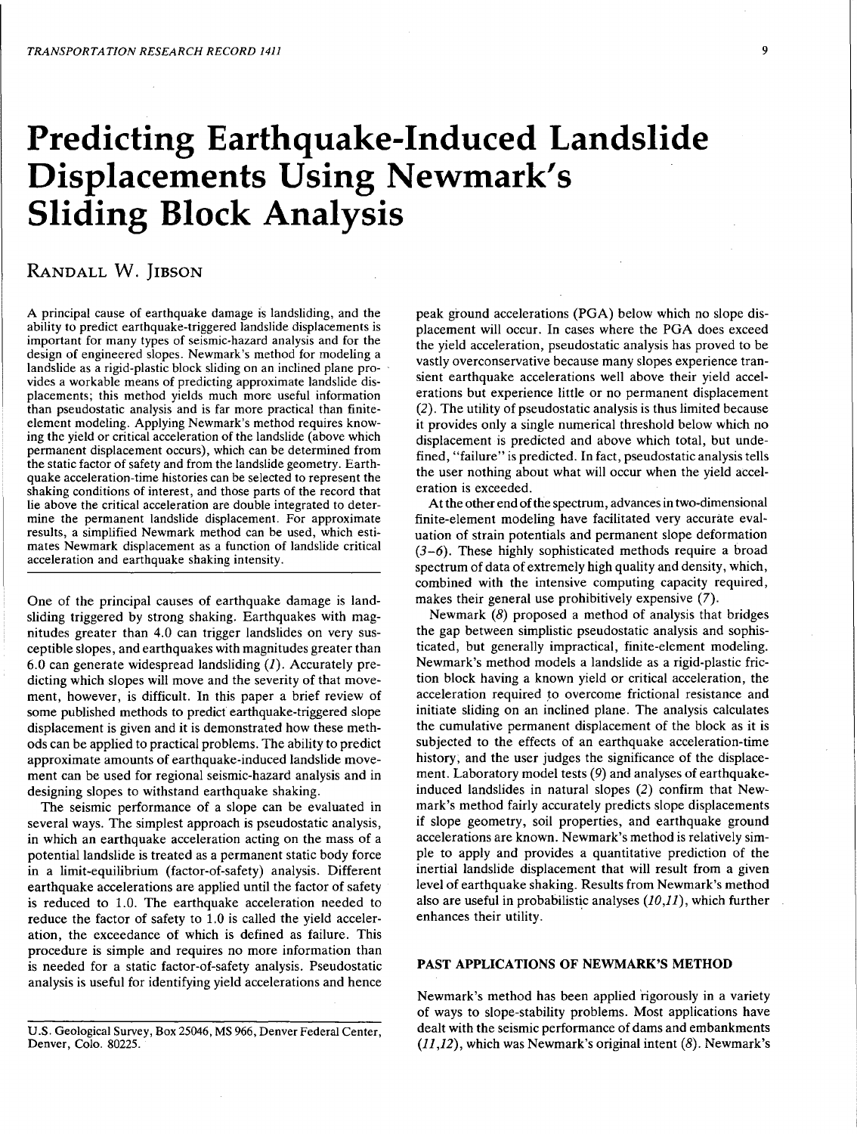# Predicting Earthquake-Induced Landslide Displacements Using Newmark's Sliding Block Analysis

# RANDALL W. JIBSON

A principal cause of earthquake damage is landsliding, and the ability to predict earthquake-triggered landslide displacements is important for many types of seismic-hazard analysis and for the design of engineered slopes. Newmark's method for modeling a landslide as a rigid-plastic block sliding on an inclined plane provides a workable means of predicting approximate landslide displacements; this method yields much more useful information than pseudostatic analysis and is far more practical than finiteelement modeling. Applying Newmark's method requires knowing the yield or critical acceleration of the landslide (above which permanent displacement occurs), which can be determined from the static factor of safety and from the landslide geometry. Earthquake acceleration-time histories can be selected to represent the shaking conditions of interest, and those parts of the record that lie above the critical acceleration are double integrated to determine the permanent landslide displacement. For approximate results, a simplified Newmark method can be used, which estimates Newmark displacement as a function of landslide critical acceleration and earthquake shaking intensity.

One of the principal causes of earthquake damage is landsliding triggered by strong shaking. Earthquakes with magnitudes greater than 4.0 can trigger landslides on very susceptible slopes, and earthquakes with magnitudes greater than 6.0 can generate widespread landsliding  $(I)$ . Accurately predicting which slopes will move and the severity of that movement, however, is difficult. In this paper a brief review of some published methods to predict earthquake-triggered slope displacement is given and it is demonstrated how these methods can be applied to practical problems. The ability to predict approximate amounts of earthquake-induced landslide movement can be used for regional seismic-hazard analysis and in designing slopes to withstand earthquake shaking.

The seismic performance of a slope can be evaluated in several ways. The simplest approach is pseudostatic analysis, in which an earthquake acceleration acting on the mass of a potential landslide is treated as a permanent static body force in a limit-equilibrium (factor-of-safety) analysis. Different earthquake accelerations are applied until the factor of safety is reduced to 1.0. The earthquake acceleration needed to reduce the factor of safety to 1.0 is called the yield acceleration, the exceedance of which is defined as failure. This procedure is simple and requires no more information than is needed for a static factor-of-safety analysis. Pseudostatic analysis is useful for identifying yield accelerations and hence peak ground accelerations (PGA) below which no slope displacement will occur. In cases where the PGA does exceed the yield acceleration, pseudostatic analysis has proved to be vastly overconservative because many slopes experience transient earthquake accelerations well above their yield accelerations but experience little or no permanent displacement (2). The utility of pseudostatic analysis is thus limited because it provides only a single numerical threshold below which no displacement is predicted and above which total, but undefined, "failure" is predicted. In fact, pseudostatic analysis tells the user nothing about what will occur when the yield acceleration is exceeded.

At the other end of the spectrum, advances in two-dimensional finite-element modeling have facilitated very accurate evaluation of strain potentials and permanent slope deformation *(3-6).* These highly sophisticated methods require a broad spectrum of data of extremely high quality and density, which, combined with the intensive computing capacity required, makes their general use prohibitively expensive (7).

Newmark (8) proposed a method of analysis that bridges the gap between simplistic pseudostatic analysis and sophisticated, but generally impractical, finite-element modeling. Newmark's method models a landslide as a rigid-plastic friction block having a known yield or critical acceleration, the acceleration required to overcome frictional resistance and initiate sliding on an inclined plane. The analysis calculates the cumulative permanent displacement of the block as it is subjected to the effects of an earthquake acceleration-time history, and the user judges the significance of the displacement. Laboratory model tests (9) and analyses of earthquakeinduced landslides in natural slopes (2) confirm that Newmark's method fairly accurately predicts slope displacements if slope geometry, soil properties, and earthquake ground accelerations are known. Newmark's method is relatively simple to apply and provides a quantitative prediction of the inertial landslide displacement that will result from a given level of earthquake shaking. Results from Newmark's method also are useful in probabilistic analyses  $(10,11)$ , which further enhances their utility.

# PAST APPLICATIONS OF NEWMARK'S METHOD

Newmark's method has been applied rigorously in a variety of ways to slope-stability problems. Most applications have dealt with the seismic performance of dams and embankments  $(11,12)$ , which was Newmark's original intent  $(8)$ . Newmark's

U.S. Geological Survey, Box 25046, MS 966, Denver Federal Center, Denver, Colo. 80225.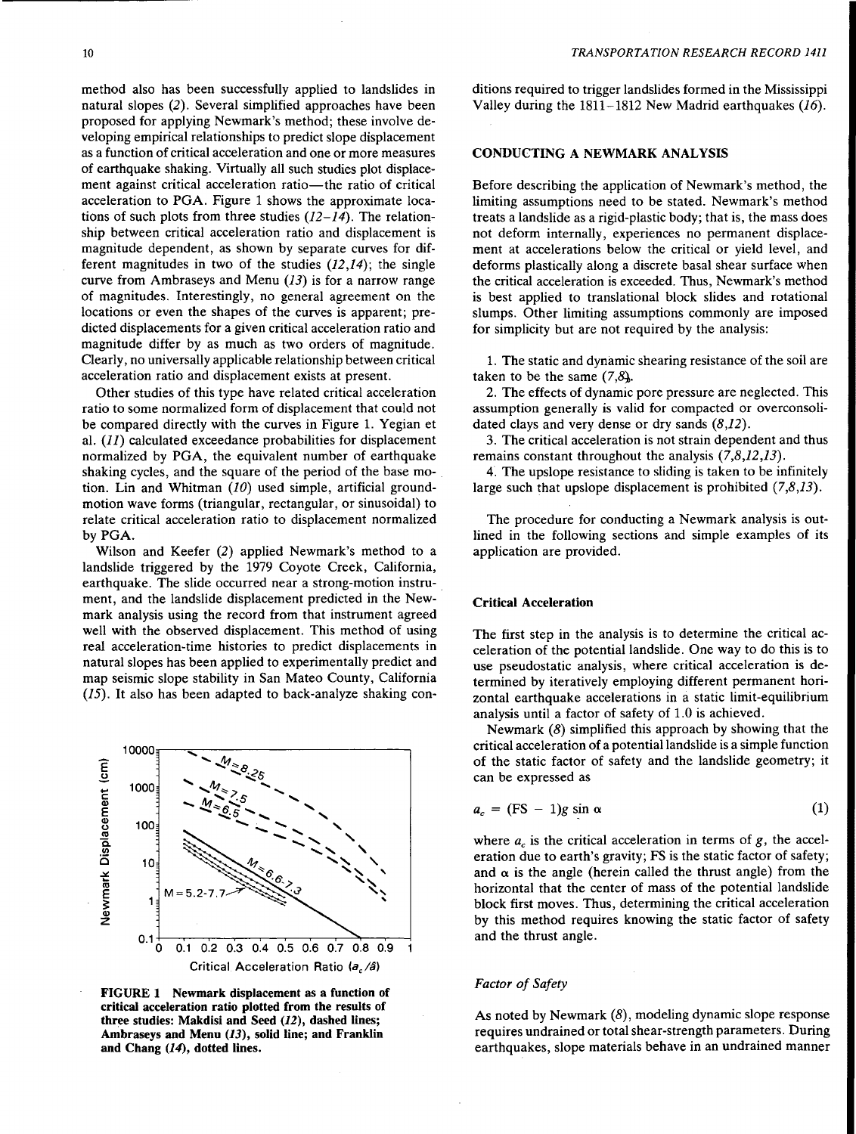method also has been successfully applied to landslides in natural slopes (2). Several simplified approaches have been proposed for applying Newmark's method; these involve developing empirical relationships to predict slope displacement as a function of critical acceleration and one or more measures of earthquake shaking. Virtually all such studies plot displacement against critical acceleration ratio-the ratio of critical acceleration to PGA. Figure 1 shows the approximate locations of such plots from three studies *(12-14).* The relationship between critical acceleration ratio and displacement is magnitude dependent, as shown by separate curves for different magnitudes in two of the studies *(12,14);* the single curve from Ambraseys and Menu  $(13)$  is for a narrow range of magnitudes. Interestingly, no general agreement on the locations or even the shapes of the curves is apparent; predicted displacements for a given critical acceleration ratio and magnitude differ by as much as two orders of magnitude. Clearly, no universally applicable relationship between critical acceleration ratio and displacement exists at present.

Other studies of this type have related critical acceleration ratio to some normalized form of displacement that could not be compared directly with the curves in Figure 1. Yegian et al. (11) calculated exceedance probabilities for displacement normalized by PGA, the equivalent number of earthquake shaking cycles, and the square of the period of the base motion. Lin and Whitman *(10)* used simple, artificial groundmotion wave forms (triangular, rectangular, or sinusoidal) to relate critical acceleration ratio to displacement normalized by PGA.

Wilson and Keefer (2) applied Newmark's method to a landslide triggered by the 1979 Coyote Creek, California, earthquake. The slide occurred near a strong-motion instrument, and the landslide displacement predicted in the Newmark analysis using the record from that instrument agreed well with the observed displacement. This method of using real acceleration-time histories to predict displacements in natural slopes has been applied to experimentally predict and map seismic slope stability in San Mateo County, California *(15).* It also has been adapted to back-analyze shaking con-



FIGURE 1 Newmark displacement as a function of critical acceleration ratio plotted from the results of three studies: Makdisi and Seed (12), dashed lines; Ambraseys and Menu (13), solid line; and Franklin and Chang (14), dotted lines.

ditions required to trigger landslides formed in the Mississippi Valley during the  $1811-1812$  New Madrid earthquakes (16).

# CONDUCTING A NEWMARK ANALYSIS

Before describing the application of Newmark's method, the limiting assumptions need to be stated. Newmark's method treats a landslide as a rigid-plastic body; that is, the mass does not deform internally, experiences no permanent displacement at accelerations below the critical or yield level, and deforms plastically along a discrete basal shear surface when the critical acceleration is exceeded. Thus, Newmark's method is best applied to translational block slides and rotational slumps. Other limiting assumptions commonly are imposed for simplicity but are not required by the analysis:

1. The static and dynamic shearing resistance of the soil are taken to be the same  $(7,8)$ .

2. The effects of dynamic pore pressure are neglected. This assumption generally is valid for compacted or overconsolidated clays and very dense or dry sands  $(8,12)$ .

3. The critical acceleration is not strain dependent and thus remains constant throughout the analysis  $(7,8,12,13)$ .

4. The upslope resistance to sliding is taken to be infinitely large such that upslope displacement is prohibited (7,8,13).

The procedure for conducting a Newmark analysis is outlined in the following sections and simple examples of its application are provided.

# Critical Acceleration

The first step in the analysis is to determine the critical acceleration of the potential landslide. One way to do this is to use pseudostatic analysis, where critical acceleration is determined by iteratively employing different permanent horizontal earthquake accelerations in a static limit-equilibrium analysis until a factor of safety of 1.0 is achieved.

Newmark (8) simplified this approach by showing that the critical acceleration of a potential landslide is a simple function of the static factor of safety and the landslide geometry; it can be expressed as

$$
a_c = (FS - 1)g \sin \alpha \tag{1}
$$

where  $a_c$  is the critical acceleration in terms of  $g$ , the acceleration due to earth's gravity; FS is the static factor of safety; and  $\alpha$  is the angle (herein called the thrust angle) from the horizontal that the center of mass of the potential landslide block first moves. Thus, determining the critical acceleration by this method requires knowing the static factor of safety and the thrust angle.

# *Factor of Safety*

As noted by Newmark (8), modeling dynamic slope response requires undrained or total shear-strength parameters. During earthquakes, slope materials behave in an undrained manner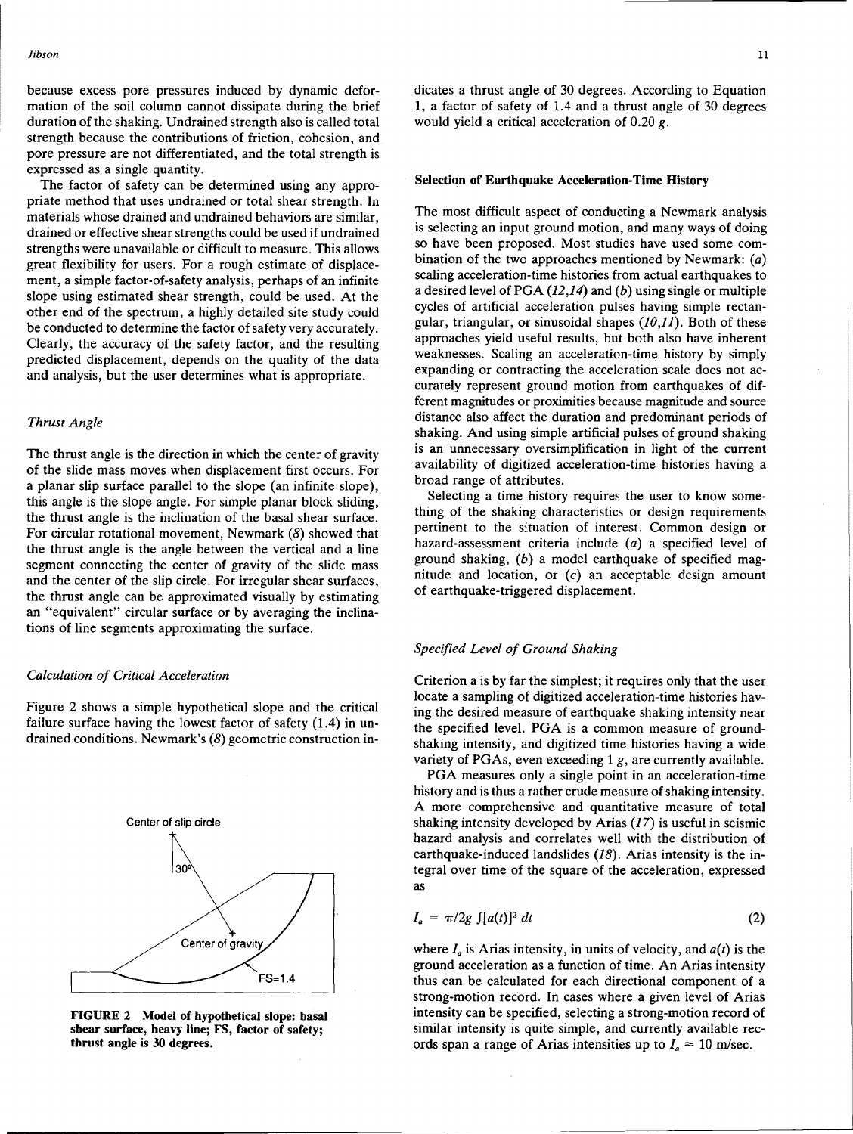because excess pore pressures induced by dynamic deformation of the soil column cannot dissipate during the brief duration of the shaking. Undrained strength also is called total strength because the contributions of friction, cohesion, and pore pressure are not differentiated, and the total strength is expressed as a single quantity.

The factor of safety can be determined using any appropriate method that uses undrained or total shear strength. In materials whose drained and undrained behaviors are similar drained or effective shear strengths could be used if undrained strengths were unavailable or difficult to measure. This allows great flexibility for users. For a rough estimate of displacement, a simple factor-of-safety analysis, perhaps of an infinite slope using estimated shear strength, could be used. At the other end of the spectrum, a highly detailed site study could be conducted to determine the factor of safety very accurately. Clearly, the accuracy of the safety factor, and the resulting predicted displacement, depends on the quality of the data and analysis, but the user determines what is appropriate.

# *Thrust Angle*

The thrust angle is the direction in which the center of gravity of the slide mass moves when displacement first occurs. For a planar slip surface parallel to the slope (an infinite slope), this angle is the slope angle. For simple planar block sliding, the thrust angle is the inclination of the basal shear surface. For circular rotational movement, Newmark (8) showed that the thrust angle is the angle between the vertical and a line segment connecting the center of gravity of the slide mass and the center of the slip circle. For irregular shear surfaces, the thrust angle can be approximated visually by estimating an "equivalent" circular surface or by averaging the inclinations of line segments approximating the surface.

### *Calculation of Critical Acceleration*

Figure 2 shows a simple hypothetical slope and the critical failure surface having the lowest factor of safety (1.4) in undrained conditions. Newmark's (8) geometric construction in-



FIGURE 2 Model of hypothetical slope: basal shear surface, heavy line; FS, factor of safety; thrust angle is 30 degrees.

dicates a thrust angle of 30 degrees. According to Equation 1, a factor of safety of 1.4 and a thrust angle of 30 degrees would yield a critical acceleration of  $0.20 g$ .

#### Selection of Earthquake Acceleration-Time History

The most difficult aspect of conducting a Newmark analysis is selecting an input ground motion, and many ways of doing so have been proposed. Most studies have used some combination of the two approaches mentioned by Newmark: (a) scaling acceleration-time histories from actual earthquakes to a desired level of PGA  $(12,14)$  and  $(b)$  using single or multiple cycles of artificial acceleration pulses having simple rectangular, triangular, or sinusoidal shapes  $(10,11)$ . Both of these approaches yield useful results, but both also have inherent weaknesses. Scaling an acceleration-time history by simply expanding or contracting the acceleration scale does not accurately represent ground motion from earthquakes of different magnitudes or proximities because magnitude and source distance also affect the duration and predominant periods of shaking. And using simple artificial pulses of ground shaking is an unnecessary oversimplification in light of the current availability of digitized acceleration-time histories having a broad range of attributes.

Selecting a time history requires the user to know something of the shaking characteristics or design requirements pertinent to the situation of interest. Common design or hazard-assessment criteria include (a) a specified level of ground shaking,  $(b)$  a model earthquake of specified magnitude and location, or  $(c)$  an acceptable design amount of earthquake-triggered displacement.

# *Specified Level of Ground Shaking*

Criterion a is by far the simplest; it requires only that the user locate a sampling of digitized acceleration-time histories having the desired measure of earthquake shaking intensity near the specified level. PGA is a common measure of groundshaking intensity, and digitized time histories having a wide variety of PGAs, even exceeding 1 g, are currently available.

PGA measures only a single point in an acceleration-time history and is thus a rather crude measure of shaking intensity. A more comprehensive and quantitative measure of total shaking intensity developed by Arias  $(17)$  is useful in seismic hazard analysis and correlates well with the distribution of earthquake-induced landslides (18). Arias intensity is the integral over time of the square of the acceleration, expressed as

$$
I_a = \pi/2g \int [a(t)]^2 dt \qquad (2)
$$

where  $I_a$  is Arias intensity, in units of velocity, and  $a(t)$  is the ground acceleration as a function of time. An Arias intensity thus can be calculated for each directional component of a strong-motion record. In cases where a given level of Arias intensity can be specified, selecting a strong-motion record of similar intensity is quite simple, and currently available records span a range of Arias intensities up to  $I_a \approx 10$  m/sec.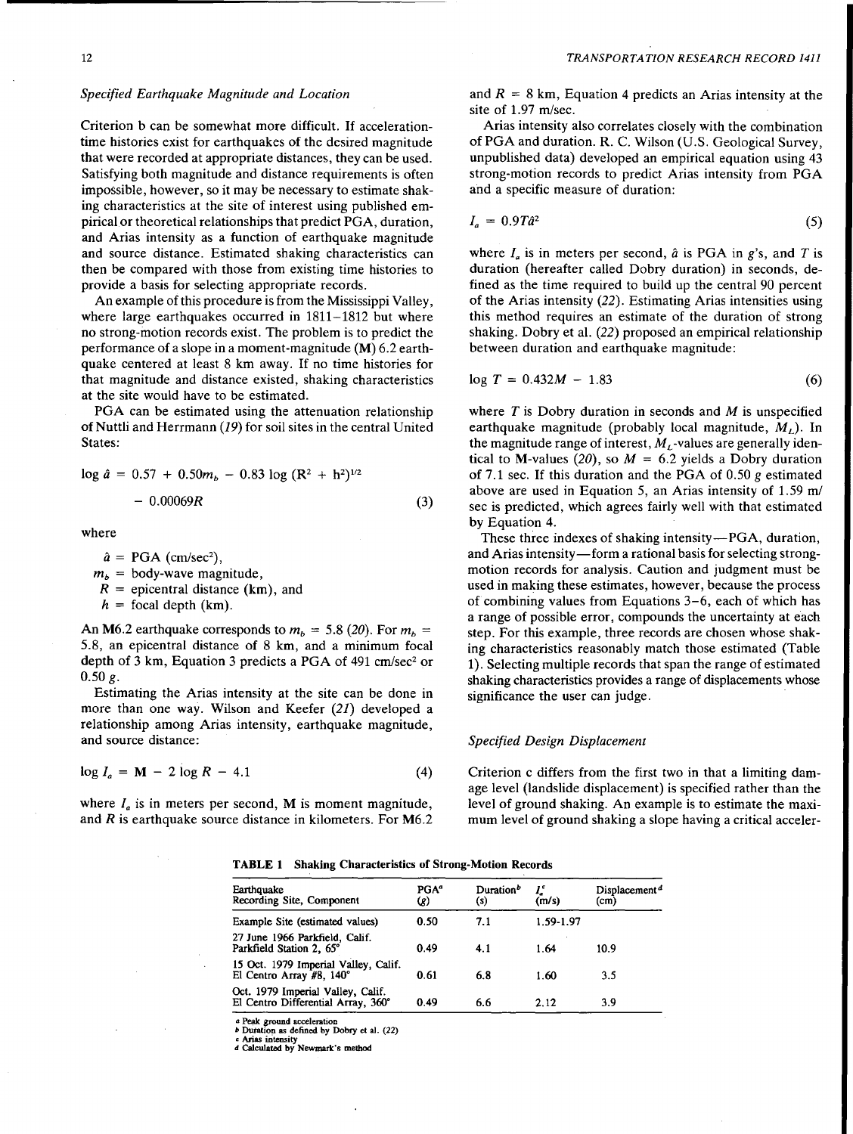# *Specified Earthquake Magnitude and Location*

Criterion b can be somewhat more difficult. If accelerationtime histories exist for earthquakes of the desired magnitude that were recorded at appropriate distances, they can be used. Satisfying both magnitude and distance requirements is often impossible, however, so it may be necessary to estimate shaking characteristics at the site of interest using published empirical or theoretical relationships that predict PGA, duration, and Arias intensity as a function of earthquake magnitude and source distance. Estimated shaking characteristics can then be compared with those from existing time histories to provide a basis for selecting appropriate records.

An example of this procedure is from the Mississippi Valley, where large earthquakes occurred in 1811-1812 but where no strong-motion records exist. The problem is to predict the performance of a slope in a moment-magnitude (M) 6.2 earthquake centered at least 8 km away. If no time histories for that magnitude and distance existed, shaking characteristics at the site would have to be estimated.

PGA can be estimated using the attenuation relationship of Nuttli and Herrmann (19) for soil sites in the central United States:

$$
\log \hat{a} = 0.57 + 0.50m_b - 0.83 \log (R^2 + h^2)^{1/2}
$$
  
- 0.00069R (3)

where

 $\hat{a}$  = PGA (cm/sec<sup>2</sup>),  $m_b$  = body-wave magnitude,  $R =$  epicentral distance (km), and  $h =$  focal depth (km).

An M6.2 earthquake corresponds to  $m_b = 5.8$  (20). For  $m_b = 5.8$ , an epicentral distance of 8 km, and a minimum focal depth of 3 km, Equation 3 predicts a PGA of 491 cm/sec<sup>2</sup> or  $0.50 g.$ 

Estimating the Arias intensity at the site can be done in more than one way. Wilson and Keefer (21) developed a relationship among Arias intensity, earthquake magnitude, and source distance:

$$
\log I_a = \mathbf{M} - 2 \log R - 4.1 \tag{4}
$$

where  $I_a$  is in meters per second, M is moment magnitude, and *R* is earthquake source distance in kilometers. For M6.2 and  $R = 8$  km, Equation 4 predicts an Arias intensity at the site of 1.97 m/sec.

Arias intensity also correlates closely with the combination of PGA and duration. R. C. Wilson (U.S. Geological Survey, unpublished data) developed an empirical equation using 43 strong-motion records to predict Arias intensity from PGA and a specific measure of duration:

$$
I_a = 0.9T\hat{a}^2 \tag{5}
$$

where  $I_a$  is in meters per second,  $\hat{a}$  is PGA in  $g$ 's, and T is duration (hereafter called Dobry duration) in seconds, defined as the time required to build up the central 90 percent of the Arias intensity (22). Estimating Arias intensities using this method requires an estimate of the duration of strong shaking. Dobry et al. (22) proposed an empirical relationship between duration and earthquake magnitude:

$$
\log T = 0.432M - 1.83\tag{6}
$$

where  $T$  is Dobry duration in seconds and  $M$  is unspecified earthquake magnitude (probably local magnitude,  $M_l$ ). In the magnitude range of interest,  $M<sub>t</sub>$ -values are generally identical to M-values (20), so  $M = 6.2$  yields a Dobry duration of 7.1 sec. If this duration and the PGA of 0.50 g estimated above are used in Equation 5, an Arias intensity of 1.59 *ml*  sec is predicted, which agrees fairly well with that estimated by Equation 4.

These three indexes of shaking intensity—PGA, duration, and Arias intensity—form a rational basis for selecting strongmotion records for analysis. Caution and judgment must be used in making these estimates, however, because the process of combining values from Equations 3-6, each of which has a range of possible error, compounds the uncertainty at each step. For this example, three records are chosen whose shaking characteristics reasonably match those estimated (Table 1). Selecting multiple records that span the range of estimated shaking characteristics provides a range of displacements whose significance the user can judge.

# *Specified Design Displacement*

Criterion c differs from the first two in that a limiting damage level (landslide displacement) is specified rather than the level of ground shaking. An example is to estimate the maximum level of ground shaking a slope having a critical acceler-

#### TABLE 1 Shaking Characteristics of Strong-Motion Records

| Earthquake<br>Recording Site, Component                                 | PGA <sup>ª</sup><br>(R) | Duration <sup>b</sup><br>(s) | (m/s)     | Displacement <sup>d</sup><br>(cm) |
|-------------------------------------------------------------------------|-------------------------|------------------------------|-----------|-----------------------------------|
| Example Site (estimated values)                                         | 0.50                    | 7.1                          | 1.59-1.97 |                                   |
| 27 June 1966 Parkfield, Calif.<br>Parkfield Station 2, 65°              | 0.49                    | 4.1                          | 1.64      | 10.9                              |
| 15 Oct. 1979 Imperial Valley, Calif.<br>El Centro Array #8, 140°        | 0.61                    | 6.8                          | 1.60      | 3.5                               |
| Oct. 1979 Imperial Valley, Calif.<br>El Centro Differential Array, 360° | 0.49                    | 6.6                          | 2.12      | 3.9                               |

*a* Peak ground acceleration<br>*b* Duration as defined by Dobry et al. (22)

*c* Arias intensity

d Calculated by Newmark's method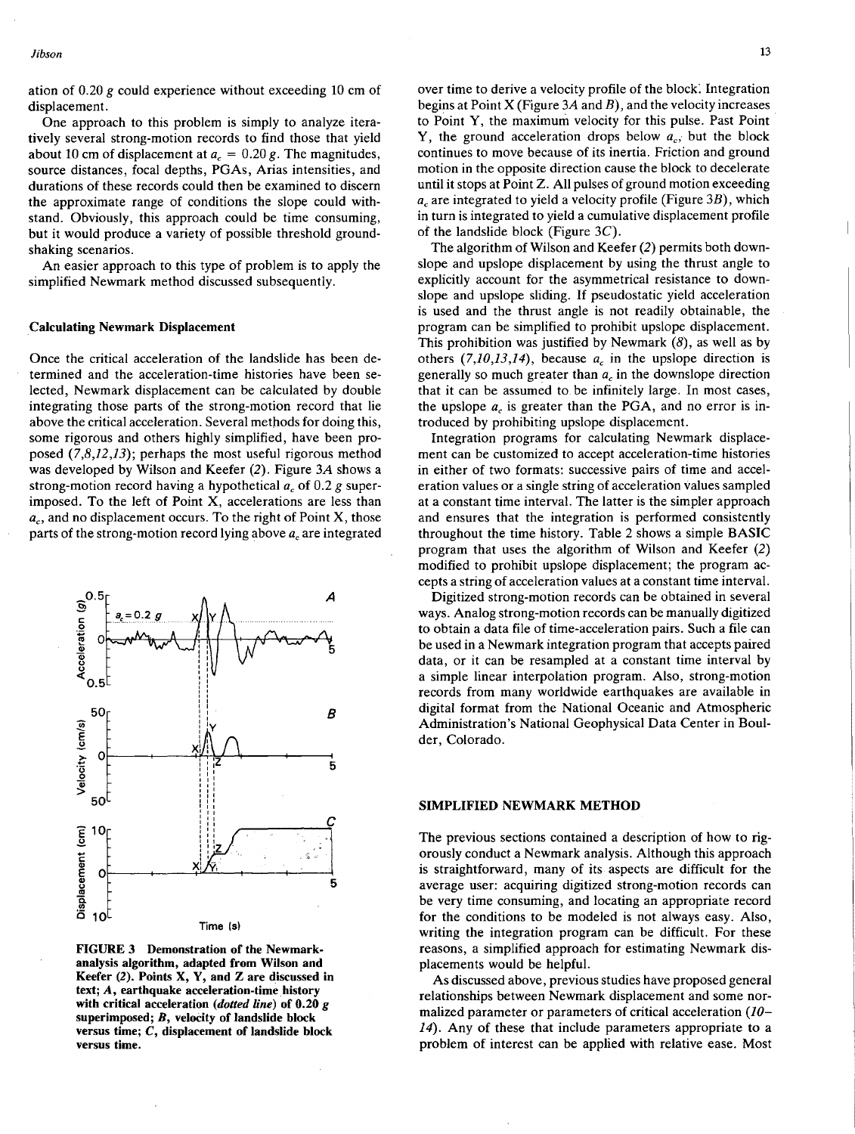ation of  $0.20$  g could experience without exceeding 10 cm of displacement.

One approach to this problem is simply to analyze iteratively several strong-motion records to find those that yield about 10 cm of displacement at  $a_c = 0.20$  g. The magnitudes, source distances, focal depths, PGAs, Arias intensities, and durations of these records could then be examined to discern the approximate range of conditions the slope could withstand. Obviously, this approach could be time consuming, but it would produce a variety of possible threshold groundshaking scenarios.

An easier approach to this type of problem is to apply the simplified Newmark method discussed subsequently.

### Calculating Newmark Displacement

Once the critical acceleration of the landslide has been determined and the acceleration-time histories have been selected, Newmark displacement can be calculated by double integrating those parts of the strong-motion record that lie above the critical acceleration. Several methods for doing this, some rigorous and others highly simplified, have been proposed  $(7,8,12,13)$ ; perhaps the most useful rigorous method was developed by Wilson and Keefer (2). Figure *3A* shows a strong-motion record having a hypothetical *ac* of 0.2 *g* superimposed. To the left of Point X, accelerations are less than *ac,* and no displacement occurs. To the right of Point X, those parts of the strong-motion record lying above *ac* are integrated



FIGURE 3 Demonstration of the Newmarkanalysis algorithm, adapted from Wilson and Keefer (2). Points X, Y, and Z are discussed in text; A, earthquake acceleration-time history with critical acceleration *(dotted line)* of 0.20 g superimposed; B, velocity of landslide block versus time; C, displacement of landslide block versus time.

over time to derive a velocity profile of the block. Integration begins at Point X (Figure *3A* and *B),* and the velocity increases to Point Y, the maximum velocity for this pulse. Past Point Y, the ground acceleration drops below  $a_c$ , but the block continues to move because of its inertia. Friction and ground motion in the opposite direction cause the block to decelerate until it stops at Point Z. All pulses of ground motion exceeding *ac* are integrated to yield a velocity profile (Figure *3B),* which in turn is integrated to yield a cumulative displacement profile of the landslide block (Figure  $3C$ ).

The algorithm of Wilson and Keefer (2) permits both downslope and upslope displacement by using the thrust angle to explicitly account for the asymmetrical resistance to downslope and upslope sliding. If pseudostatic yield acceleration is used and the thrust angle is not readily obtainable, the program can be simplified to prohibit upslope displacement. This prohibition was justified by Newmark  $(8)$ , as well as by others  $(7,10,13,14)$ , because  $a_c$  in the upslope direction is generally so much greater than *ac* in the downslope direction that it can be assumed to be infinitely large. In most cases, the upslope  $a_c$  is greater than the PGA, and no error is introduced by prohibiting upslope displacement.

Integration programs for calculating Newmark displacement can be customized to accept acceleration-time histories in either of two formats: successive pairs of time and acceleration values or a single string of acceleration values sampled at a constant time interval. The latter is the simpler approach and ensures that the integration is performed consistently throughout the time history. Table 2 shows a simple BASIC program that uses the algorithm of Wilson and Keefer (2) modified to prohibit upslope displacement; the program accepts a string of acceleration values at a constant time interval.

Digitized strong-motion records can be obtained in several ways. Analog strong-motion records can be manually digitized to obtain a data file of time-acceleration pairs. Such a file can be used in a Newmark integration program that accepts paired data, or it can be resampled at a constant time interval by a simple linear interpolation program. Also, strong-motion records from many worldwide earthquakes are available in digital format from the National Oceanic and Atmospheric Administration's National Geophysical Data Center in Boulder, Colorado.

## SIMPLIFIED NEWMARK METHOD

The previous sections contained a description of how to rigorously conduct a Newmark analysis. Although this approach is straightforward, many of its aspects are difficult for the average user: acquiring digitized strong-motion records can be very time consuming, and locating an appropriate record for the conditions to be modeled is not always easy. Also, writing the integration program can be difficult. For these reasons, a simplified approach for estimating Newmark displacements would be helpful.

As discussed above, previous studies have proposed general relationships between Newmark displacement and some normalized parameter or parameters of critical acceleration *(10- 14).* Any of these that include parameters appropriate to a problem of interest can be applied with relative ease. Most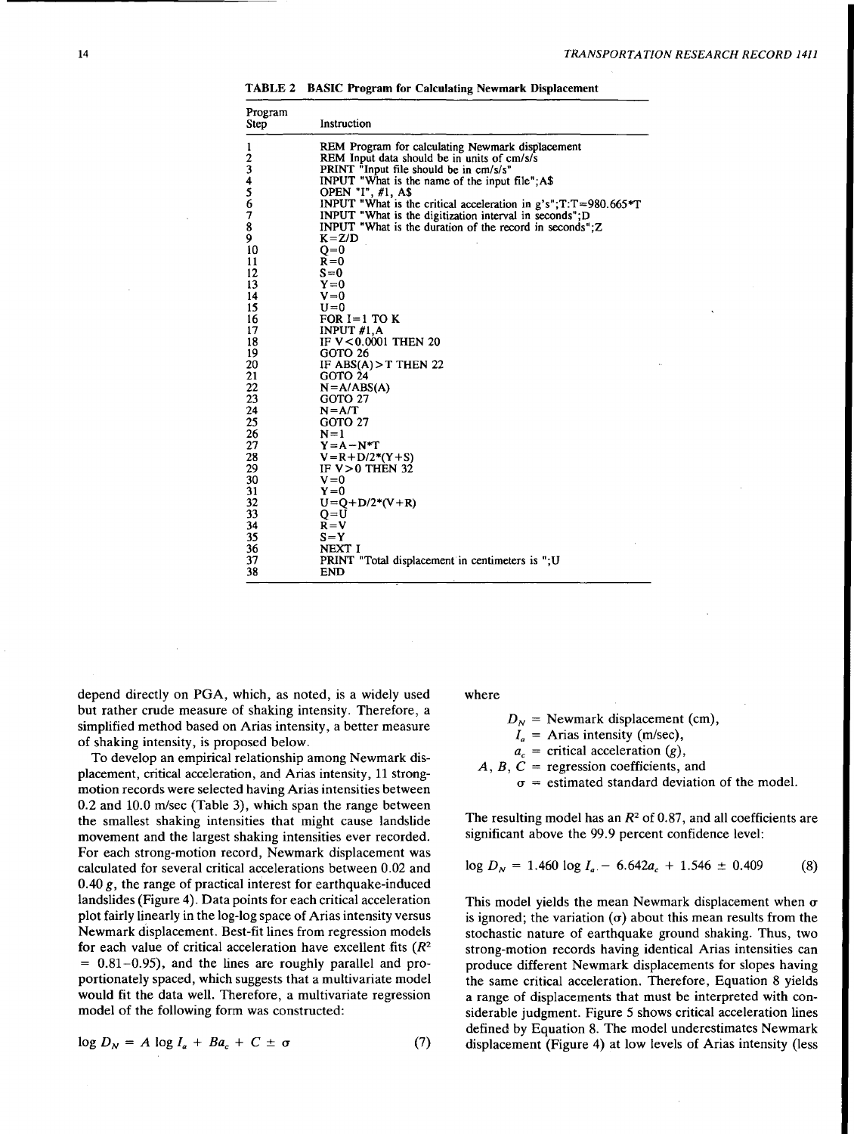TABLE 2 BASIC Program for Calculating Newmark Displacement

| Program<br>Step | Instruction                                                       |
|-----------------|-------------------------------------------------------------------|
| 1               | REM Program for calculating Newmark displacement                  |
| $\frac{2}{3}$   | REM Input data should be in units of cm/s/s                       |
|                 | PRINT "Input file should be in cm/s/s"                            |
| $\ddot{4}$      | INPUT "What is the name of the input file"; A\$                   |
| $\frac{5}{6}$   | OPEN "I", #1, A\$                                                 |
|                 | INPUT "What is the critical acceleration in $g's$ ";T:T=980.665*T |
| 7               | INPUT "What is the digitization interval in seconds";D            |
| 8               | INPUT "What is the duration of the record in seconds"; $Z$        |
| 9               | $K = Z/D$                                                         |
| 10              | $Q=0$                                                             |
| 11              | $R = 0$                                                           |
| 12              | $S=0$                                                             |
| 13              | $Y=0$                                                             |
| 14              | $V = 0$                                                           |
| 15              | $U = 0$                                                           |
| 16              | FOR $I=1$ TO K                                                    |
| 17              | INPUT $#1,A$                                                      |
| 18              | IF V<0.0001 THEN 20                                               |
| 19              | GOTO 26                                                           |
| 20              | IF ABS(A) $>$ THEN 22                                             |
| 21              | GOTO 24                                                           |
| 22              | $N = A/ABS(A)$                                                    |
| 23              | GOTO 27                                                           |
| 24              | $N = A/T$                                                         |
| 25              | GOTO 27                                                           |
| 26              | $N=1$                                                             |
| 27              | $Y = A - N^*T$                                                    |
| 28              | $V = R + D/2*(Y + S)$                                             |
| 29              | IF $V > 0$ THEN 32                                                |
| 30              | $V = 0$                                                           |
| 31              | $Y=0$                                                             |
| 32              | $U = Q + D/2*(V + R)$                                             |
| 33              | $Q = U$                                                           |
| 34              | $R = V$                                                           |
| 35              | $S = Y$                                                           |
| 36              | NEXT I                                                            |
| 37              | PRINT "Total displacement in centimeters is ":U                   |
| 38              | <b>END</b>                                                        |

depend directly on PGA, which, as noted, is a widely used but rather crude measure of shaking intensity. Therefore, a simplified method based on Arias intensity, a better measure of shaking intensity, is proposed below.

To develop an empirical relationship among Newmark displacement, critical acceleration, and Arias intensity, 11 strongmotion records were selected having Arias intensities between 0.2 and 10.0 m/sec (Table 3), which span the range between the smallest shaking intensities that might cause landslide movement and the largest shaking intensities ever recorded. For each strong-motion record, Newmark displacement was calculated for several critical accelerations between 0.02 and 0.40  $g$ , the range of practical interest for earthquake-induced landslides (Figure 4). Data points for each critical acceleration plot fairly linearly in the log-log space of Arias intensity versus Newmark displacement. Best-fit lines from regression models for each value of critical acceleration have excellent fits (R*<sup>2</sup>*  $= 0.81 - 0.95$ , and the lines are roughly parallel and proportionately spaced, which suggests that a multivariate model would fit the data well. Therefore, a multivariate regression model of the following form was constructed:

$$
\log D_N = A \log I_a + Ba_c + C \pm \sigma \tag{7}
$$

where

 $D_N$  = Newmark displacement (cm),  $I_a$  = Arias intensity (m/sec),  $a_c$  = critical acceleration (g),  $A, B, C$  = regression coefficients, and

 $\sigma$  = estimated standard deviation of the model.

The resulting model has an  $R^2$  of 0.87, and all coefficients are significant above the 99.9 percent confidence level:

$$
\log D_N = 1.460 \log I_a - 6.642a_c + 1.546 \pm 0.409 \tag{8}
$$

This model yields the mean Newmark displacement when  $\sigma$ is ignored; the variation  $(\sigma)$  about this mean results from the stochastic nature of earthquake ground shaking. Thus, two strong-motion records having identical Arias intensities can produce different Newmark displacements for slopes having the same critical acceleration. Therefore, Equation 8 yields a range of displacements that must be interpreted with considerable judgment. Figure 5 shows critical acceleration lines defined by Equation 8. The model underestimates Newmark displacement (Figure 4) at low levels of Arias intensity (less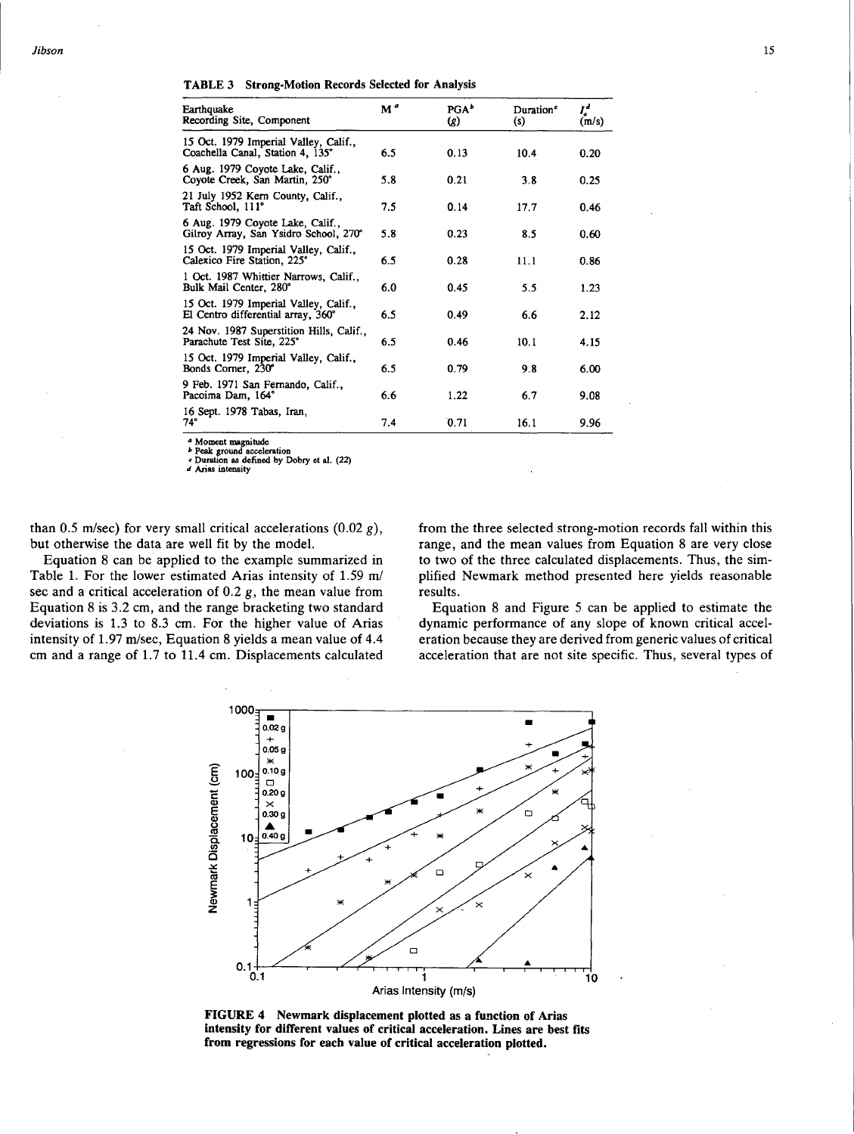TABLE 3 Strong-Motion Records Selected for Analysis

| M <sup>a</sup> | PGA <sup>b</sup><br>(8) | Duration <sup>e</sup><br>(s) | Ľ<br>(m/s) |
|----------------|-------------------------|------------------------------|------------|
| 6.5            | 0.13                    | 10.4                         | 0.20       |
| 5.8            | 0.21                    | 3.8                          | 0.25       |
| 7.5            | 0.14                    | 17.7                         | 0.46       |
| 5.8            | 0.23                    | 8.5                          | 0.60       |
| 6.5            | 0.28                    | 11.1                         | 0.86       |
| 6.0            | 0.45                    | 5.5                          | 1.23       |
| 6.5            | 0.49                    | 6.6                          | 2.12       |
| 6.5            | 0.46                    | 10.1                         | 4.15       |
| 6.5            | 0.79                    | 9.8                          | 6.00       |
| 6.6            | 1.22                    | 6.7                          | 9.08       |
| 7.4            | 0.71                    | 16.1                         | 9.96       |
|                |                         |                              |            |

*a* Moment magnitude *b* Peak ground acceleration *c* Duration as defined by Dobry et al. (22)

*d* Arias intensity

than 0.5 m/sec) for very small critical accelerations  $(0.02 g)$ , but otherwise the data are well fit by the model.

Equation 8 can be applied to the example summarized in Table 1. For the lower estimated Arias intensity of 1.59 *ml*  sec and a critical acceleration of  $0.2$  g, the mean value from Equation 8 is 3.2 cm, and the range bracketing two standard deviations is 1.3 to 8.3 cm. For the higher value of Arias intensity of 1.97 m/sec, Equation 8 yields a mean value of 4.4 cm and a range of 1.7 to 11.4 cm. Displacements calculated from the three selected strong-motion records fall within this range, and the mean values from Equation 8 are very close to two of the three calculated displacements. Thus, the simplified Newmark method presented here yields reasonable results.

Equation 8 and Figure 5 can be applied to estimate the dynamic performance of any slope of known critical acceleration because they are derived from generic values of critical acceleration that are not site specific. Thus, several types of



FIGURE 4 Newmark displacement plotted as a function of Arias intensity for different values of critical acceleration. Lines are best fits from regressions for each value of critical acceleration plotted.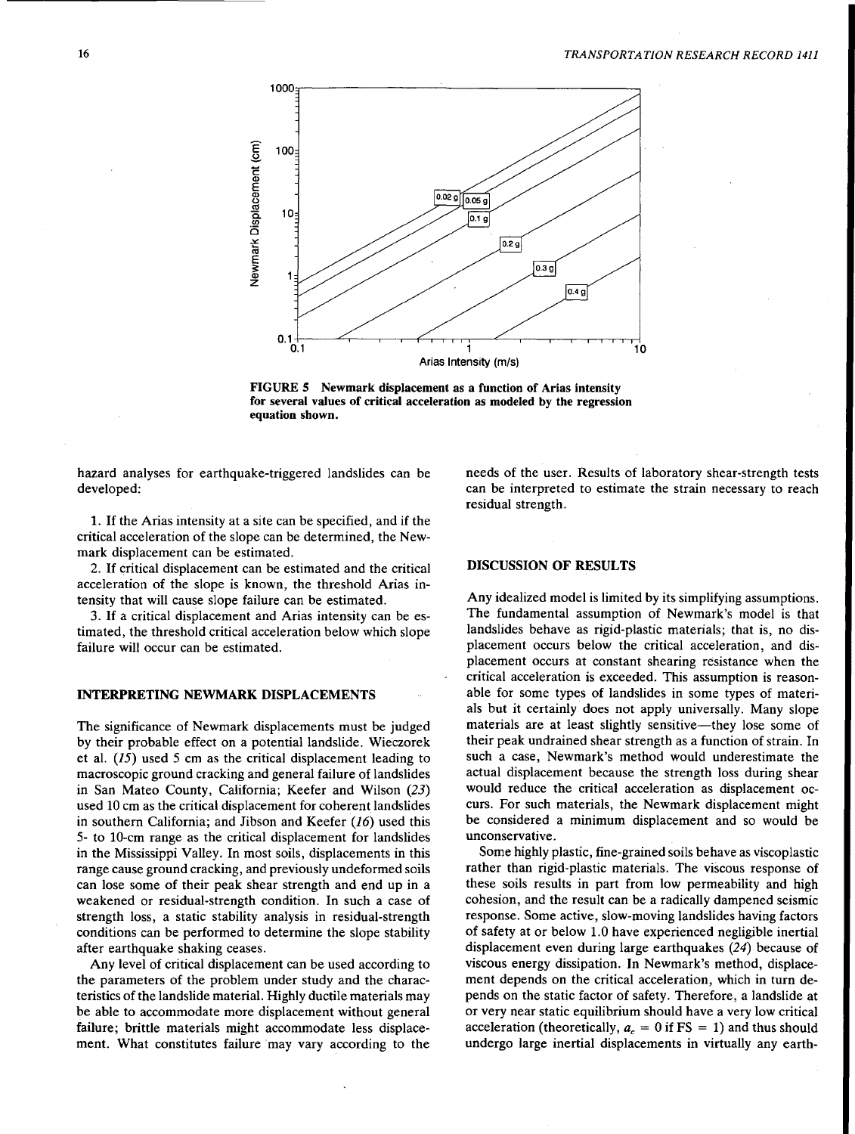

FIGURE 5 Newmark displacement as a function of Arias intensity for several values of critical acceleration as modeled by the regression equation shown.

hazard analyses for earthquake-triggered landslides can be developed:

1. If the Arias intensity at a site can be specified, and if the critical acceleration of the slope can be determined, the Newmark displacement can be estimated.

2. If critical displacement can be estimated and the critical acceleration of the slope is known, the threshold Arias intensity that will cause slope failure can be estimated.

3. If a critical displacement and Arias intensity can be estimated, the threshold critical acceleration below which slope failure will occur can be estimated.

#### INTERPRETING NEWMARK DISPLACEMENTS

The significance of Newmark displacements must be judged by their probable effect on a potential landslide. Wieczorek et al.  $(15)$  used 5 cm as the critical displacement leading to macroscopic ground cracking and general failure of landslides in San Mateo County, California; Keefer and Wilson (23) used 10 cm as the critical displacement for coherent landslides in southern California; and Jibson and Keefer (16) used this 5- to 10-cm range as the critical displacement for landslides in the Mississippi Valley. In most soils, displacements in this range cause ground cracking, and previously undeformed soils can lose some of their peak shear strength and end up in a weakened or residual-strength condition. In such a case of strength loss, a static stability analysis in residual-strength conditions can be performed to determine the slope stability after earthquake shaking ceases.

Any level of critical displacement can be used according to the parameters of the problem under study and the characteristics of the landslide material. Highly ductile materials may be able to accommodate more displacement without general failure; brittle materials might accommodate less displacement. What constitutes failure may vary according to the needs of the user. Results of laboratory shear-strength tests can be interpreted to estimate the strain necessary to reach residual strength.

# DISCUSSION OF RESULTS

Any idealized model is limited by its simplifying assumptions. The fundamental assumption of Newmark's model is that landslides behave as rigid-plastic materials; that is, no displacement occurs below the critical acceleration, and displacement occurs at constant shearing resistance when the critical acceleration is exceeded. This assumption is reasonable for some types of landslides in some types of materials but it certainly does not apply universally. Many slope materials are at least slightly sensitive—they lose some of their peak undrained shear strength as a function of strain. In such a case, Newmark's method would underestimate the actual displacement because the strength loss during shear would reduce the critical acceleration as displacement occurs. For such materials, the Newmark displacement might be considered a minimum displacement and so would be unconservative.

Some highly plastic, fine-grained soils behave as viscoplastic rather than rigid-plastic materials. The viscous response of these soils results in part from low permeability and high cohesion, and the result can be a radically dampened seismic response. Some active, slow-moving landslides having factors of safety at or below 1.0 have experienced negligible inertial displacement even during large earthquakes (24) because of viscous energy dissipation. In Newmark's method, displacement depends on the critical acceleration, which in turn depends on the static factor of safety. Therefore, a landslide at or very near static equilibrium should have a very low critical acceleration (theoretically,  $a_c = 0$  if  $FS = 1$ ) and thus should undergo large inertial displacements in virtually any earth